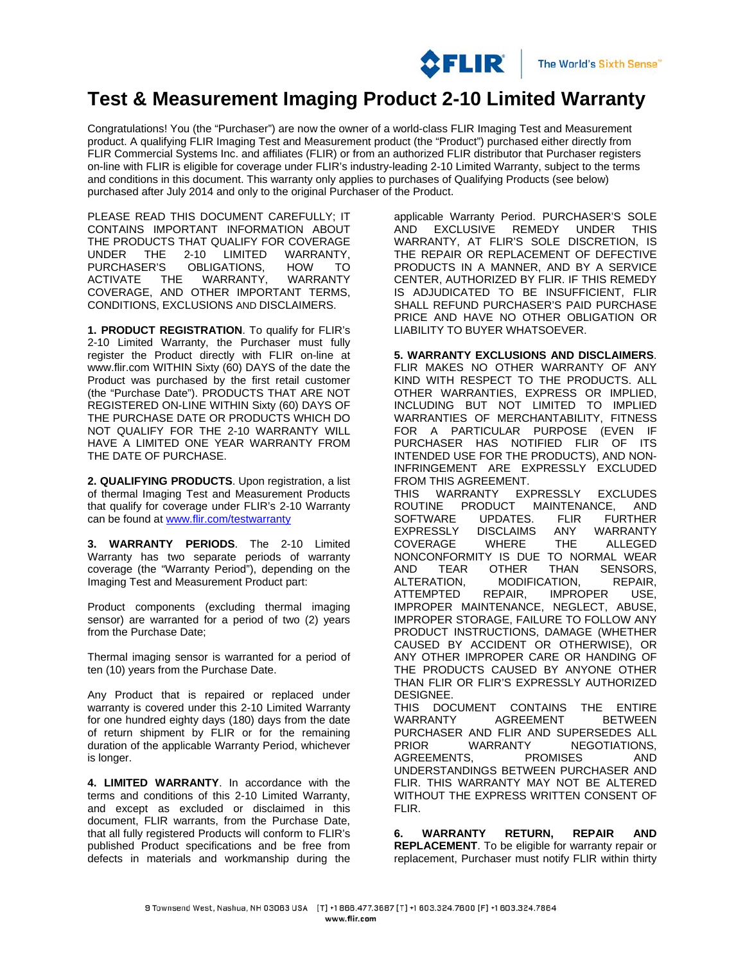

## **Test & Measurement Imaging Product 2-10 Limited Warranty**

Congratulations! You (the "Purchaser") are now the owner of a world-class FLIR Imaging Test and Measurement product. A qualifying FLIR Imaging Test and Measurement product (the "Product") purchased either directly from FLIR Commercial Systems Inc. and affiliates (FLIR) or from an authorized FLIR distributor that Purchaser registers on-line with FLIR is eligible for coverage under FLIR's industry-leading 2-10 Limited Warranty, subject to the terms and conditions in this document. This warranty only applies to purchases of Qualifying Products (see below) purchased after July 2014 and only to the original Purchaser of the Product.

PLEASE READ THIS DOCUMENT CAREFULLY; IT CONTAINS IMPORTANT INFORMATION ABOUT THE PRODUCTS THAT QUALIFY FOR COVERAGE<br>UNDER THE 2-10 LIMITED WARRANTY. UNDER THE 2-10 LIMITED WARRANTY, PURCHASER'S OBLIGATIONS, HOW TO<br>ACTIVATE THE WARRANTY. WARRANTY WARRANTY. COVERAGE, AND OTHER IMPORTANT TERMS, CONDITIONS, EXCLUSIONS AND DISCLAIMERS.

**1. PRODUCT REGISTRATION**. To qualify for FLIR's 2-10 Limited Warranty, the Purchaser must fully register the Product directly with FLIR on-line at www.flir.com WITHIN Sixty (60) DAYS of the date the Product was purchased by the first retail customer (the "Purchase Date"). PRODUCTS THAT ARE NOT REGISTERED ON-LINE WITHIN Sixty (60) DAYS OF THE PURCHASE DATE OR PRODUCTS WHICH DO NOT QUALIFY FOR THE 2-10 WARRANTY WILL HAVE A LIMITED ONE YEAR WARRANTY FROM THE DATE OF PURCHASE.

**2. QUALIFYING PRODUCTS**. Upon registration, a list of thermal Imaging Test and Measurement Products that qualify for coverage under FLIR's 2-10 Warranty can be found at [www.flir.com/testwarranty](http://www.flir.com/testwarranty)

**3. WARRANTY PERIODS**. The 2-10 Limited Warranty has two separate periods of warranty coverage (the "Warranty Period"), depending on the Imaging Test and Measurement Product part:

Product components (excluding thermal imaging sensor) are warranted for a period of two (2) years from the Purchase Date;

Thermal imaging sensor is warranted for a period of ten (10) years from the Purchase Date.

Any Product that is repaired or replaced under warranty is covered under this 2-10 Limited Warranty for one hundred eighty days (180) days from the date of return shipment by FLIR or for the remaining duration of the applicable Warranty Period, whichever is longer.

**4. LIMITED WARRANTY**. In accordance with the terms and conditions of this 2-10 Limited Warranty, and except as excluded or disclaimed in this document, FLIR warrants, from the Purchase Date, that all fully registered Products will conform to FLIR's published Product specifications and be free from defects in materials and workmanship during the applicable Warranty Period. PURCHASER'S SOLE<br>AND EXCLUSIVE REMEDY UNDER THIS EXCLUSIVE REMEDY WARRANTY, AT FLIR'S SOLE DISCRETION, IS THE REPAIR OR REPLACEMENT OF DEFECTIVE PRODUCTS IN A MANNER, AND BY A SERVICE CENTER, AUTHORIZED BY FLIR. IF THIS REMEDY IS ADJUDICATED TO BE INSUFFICIENT, FLIR SHALL REFUND PURCHASER'S PAID PURCHASE PRICE AND HAVE NO OTHER OBLIGATION OR LIABILITY TO BUYER WHATSOEVER.

**5. WARRANTY EXCLUSIONS AND DISCLAIMERS**. FLIR MAKES NO OTHER WARRANTY OF ANY KIND WITH RESPECT TO THE PRODUCTS. ALL OTHER WARRANTIES, EXPRESS OR IMPLIED, INCLUDING BUT NOT LIMITED TO IMPLIED WARRANTIES OF MERCHANTABILITY, FITNESS FOR A PARTICULAR PURPOSE (EVEN IF PURCHASER HAS NOTIFIED FLIR OF ITS INTENDED USE FOR THE PRODUCTS), AND NON-INFRINGEMENT ARE EXPRESSLY EXCLUDED FROM THIS AGREEMENT. THIS WARRANTY EXPRESSLY EXCLUDES<br>ROUTINE PRODUCT MAINTENANCE, AND ROUTINE PRODUCT MAINTENANCE, AND<br>SOFTWARE UPDATES. FLIR FURTHER SOFTWARE UPDATES. FLIR<br>EXPRESSLY DISCLAIMS ANY DISCLAIMS ANY WARRANTY COVERAGE WHERE THE ALLEGED NONCONFORMITY IS DUE TO NORMAL WEAR<br>AND TEAR OTHER THAN SENSORS. AND TEAR OTHER THAN SENSORS,<br>ALTERATION. MODIFICATION. REPAIR. MODIFICATION, REPAIR,<br>REPAIR, IMPROPER USE. **ATTEMPTED** IMPROPER MAINTENANCE, NEGLECT, ABUSE, IMPROPER STORAGE, FAILURE TO FOLLOW ANY PRODUCT INSTRUCTIONS, DAMAGE (WHETHER CAUSED BY ACCIDENT OR OTHERWISE), OR ANY OTHER IMPROPER CARE OR HANDING OF THE PRODUCTS CAUSED BY ANYONE OTHER THAN FLIR OR FLIR'S EXPRESSLY AUTHORIZED DESIGNEE. THIS DOCUMENT CONTAINS THE ENTIRE

**AGREEMENT** PURCHASER AND FLIR AND SUPERSEDES ALL PRIOR WARRANTY NEGOTIATIONS, AGREEMENTS, PROMISES AND UNDERSTANDINGS BETWEEN PURCHASER AND FLIR. THIS WARRANTY MAY NOT BE ALTERED WITHOUT THE EXPRESS WRITTEN CONSENT OF FLIR.

**6. WARRANTY RETURN, REPAIR AND REPLACEMENT**. To be eligible for warranty repair or replacement, Purchaser must notify FLIR within thirty